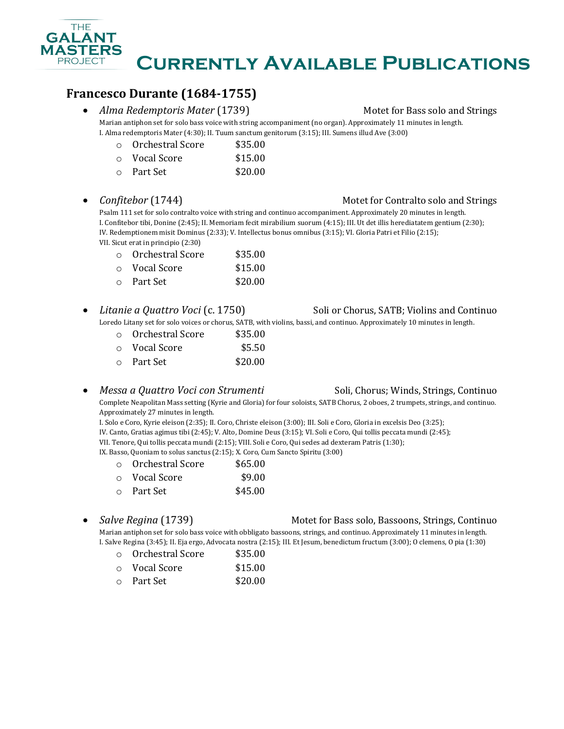

# **Francesco Durante (1684-1755)**

• *Alma Redemptoris Mater* (1739) Motet for Bass solo and Strings

Marian antiphon set for solo bass voice with string accompaniment (no organ). Approximately 11 minutes in length. I. Alma redemptoris Mater (4:30); II. Tuum sanctum genitorum (3:15); III. Sumens illud Ave (3:00)

| Orchestral Score | \$35.00 |
|------------------|---------|
|                  |         |

| $\circ$ | Vocal Score | \$15.00 |
|---------|-------------|---------|
|         |             |         |

- o Part Set \$20.00
- *Confitebor* (1744) **Motel for Contralto solo and Strings**

Psalm 111 set for solo contralto voice with string and continuo accompaniment. Approximately 20 minutes in length. I. Confitebor tibi, Donine (2:45); II. Memoriam fecit mirabilium suorum (4:15); III. Ut det illis herediatatem gentium (2:30); IV. Redemptionem misit Dominus (2:33); V. Intellectus bonus omnibus (3:15); VI. Gloria Patri et Filio (2:15); VII. Sicut erat in principio (2:30)

| ○ Orchestral Score | \$35.00 |
|--------------------|---------|
| റ Vocal Score      | \$15.00 |
| ○ Part Set         | \$20.00 |

• *Litanie a Quattro Voci* (c. 1750) Soli or Chorus, SATB; Violins and Continuo

Loredo Litany set for solo voices or chorus, SATB, with violins, bassi, and continuo. Approximately 10 minutes in length.

| $\cap$ | Orchestral Score    | \$35.00 |
|--------|---------------------|---------|
|        | $\circ$ Vocal Score | \$5.50  |
|        | $\circ$ Part Set    | \$20.00 |

### • *Messa a Quattro Voci con Strumenti* Soli, Chorus; Winds, Strings, Continuo

Complete Neapolitan Mass setting (Kyrie and Gloria) for four soloists, SATB Chorus, 2 oboes, 2 trumpets, strings, and continuo. Approximately 27 minutes in length.

I. Solo e Coro, Kyrie eleison (2:35); II. Coro, Christe eleison (3:00); III. Soli e Coro, Gloria in excelsis Deo (3:25); IV. Canto, Gratias agimus tibi (2:45); V. Alto, Domine Deus (3:15); VI. Soli e Coro, Qui tollis peccata mundi (2:45); VII. Tenore, Qui tollis peccata mundi (2:15); VIII. Soli e Coro, Qui sedes ad dexteram Patris (1:30); IX. Basso, Quoniam to solus sanctus (2:15); X. Coro, Cum Sancto Spiritu (3:00)

| $\cap$ | Orchestral Score    | \$65.00 |
|--------|---------------------|---------|
|        | $\circ$ Vocal Score | \$9.00  |
|        | 0 Part Set          | \$45.00 |

### • *Salve Regina* (1739) Motet for Bass solo, Bassoons, Strings, Continuo

Marian antiphon set for solo bass voice with obbligato bassoons, strings, and continuo. Approximately 11 minutes in length. I. Salve Regina (3:45); II. Eja ergo, Advocata nostra (2:15); III. Et Jesum, benedictum fructum (3:00); O clemens, O pia (1:30)

- o Orchestral Score \$35.00
- o Vocal Score \$15.00
- o Part Set \$20.00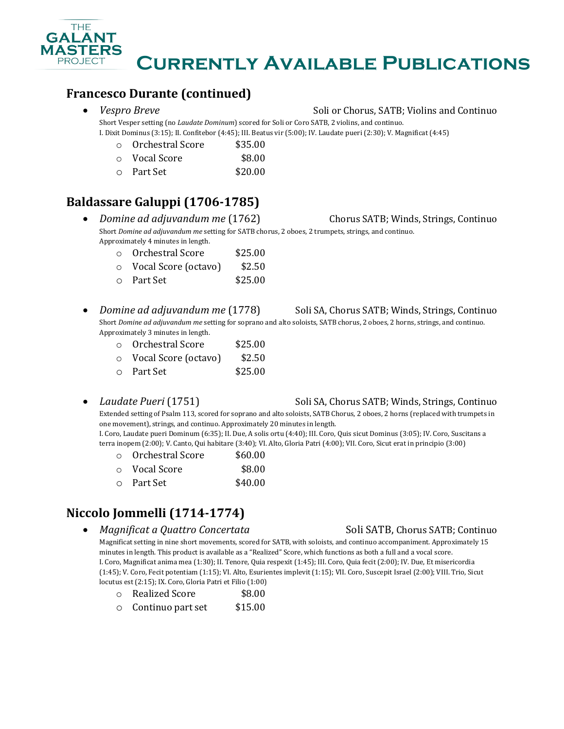

## **Francesco Durante (continued)**

### • *Vespro Breve* Soli or Chorus, SATB; Violins and Continuo

Short Vesper setting (no *Laudate Dominum*) scored for Soli or Coro SATB, 2 violins, and continuo. I. Dixit Dominus (3:15); II. Confitebor (4:45); III. Beatus vir (5:00); IV. Laudate pueri (2:30); V. Magnificat (4:45)

| $\circ$ | Orchestral Score | \$35.00 |
|---------|------------------|---------|
|         |                  |         |

- o Vocal Score \$8.00
- o Part Set \$20.00

# **Baldassare Galuppi (1706-1785)**

- *Domine ad adjuvandum me* (1762) Chorus SATB; Winds, Strings, Continuo Short *Domine ad adjuvandum me* setting for SATB chorus, 2 oboes, 2 trumpets, strings, and continuo. Approximately 4 minutes in length.
	- o Orchestral Score \$25.00
	- o Vocal Score (octavo) \$2.50
	- o Part Set \$25.00
- *Domine ad adjuvandum me* (1778) Soli SA, Chorus SATB; Winds, Strings, Continuo Short *Domine ad adjuvandum me* setting for soprano and alto soloists, SATB chorus, 2 oboes, 2 horns, strings, and continuo. Approximately 3 minutes in length.

| $\circ$ | Orchestral Score     | \$25.00 |
|---------|----------------------|---------|
| $\circ$ | Vocal Score (octavo) | \$2.50  |
|         | 0 Part Set           | \$25.00 |

### • *Laudate Pueri* (1751) Soli SA, Chorus SATB; Winds, Strings, Continuo

Extended setting of Psalm 113, scored for soprano and alto soloists, SATB Chorus, 2 oboes, 2 horns (replaced with trumpets in one movement), strings, and continuo. Approximately 20 minutes in length. I. Coro, Laudate pueri Dominum (6:35); II. Due, A solis ortu (4:40); III. Coro, Quis sicut Dominus (3:05); IV. Coro, Suscitans a

terra inopem (2:00); V. Canto, Qui habitare (3:40); VI. Alto, Gloria Patri (4:00); VII. Coro, Sicut erat in principio (3:00)

| $\cap$ | - Orchestral Score | \$60.00 |
|--------|--------------------|---------|
| $\cap$ | Vocal Score        | \$8.00  |
|        | 0 Part Set         | \$40.00 |

# **Niccolo Jommelli (1714-1774)**

• *Magnificat a Quattro Concertata* Soli SATB, Chorus SATB; Continuo

Magnificat setting in nine short movements, scored for SATB, with soloists, and continuo accompaniment. Approximately 15 minutes in length. This product is available as a "Realized" Score, which functions as both a full and a vocal score. I. Coro, Magnificat anima mea (1:30); II. Tenore, Quia respexit (1:45); III. Coro, Quia fecit (2:00); IV. Due, Et misericordia (1:45); V. Coro, Fecit potentiam (1:15); VI. Alto, Esurientes implevit (1:15); VII. Coro, Suscepit Israel (2:00); VIII. Trio, Sicut locutus est (2:15); IX. Coro, Gloria Patri et Filio (1:00)

- o Realized Score \$8.00
- o Continuo part set \$15.00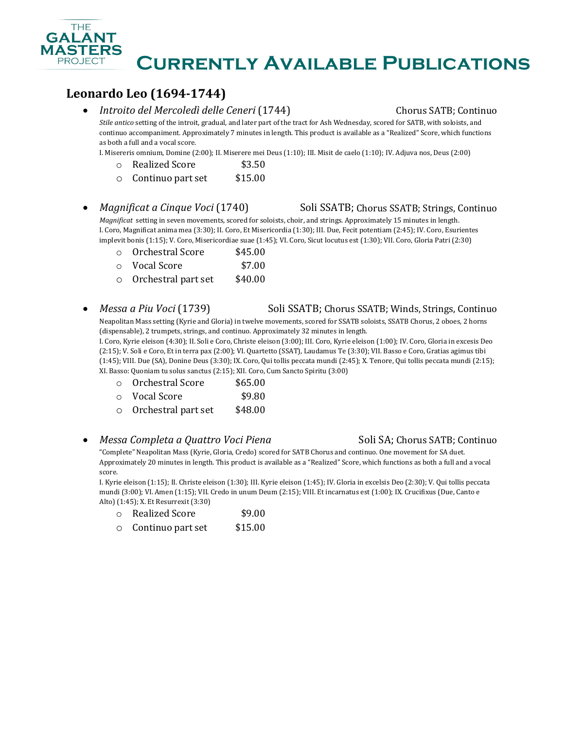## **Leonardo Leo (1694-1744)**

• *Introito del Mercoledì delle Ceneri* (1744) Chorus SATB; Continuo

*Stile antico* setting of the introit, gradual, and later part of the tract for Ash Wednesday, scored for SATB, with soloists, and continuo accompaniment. Approximately 7 minutes in length. This product is available as a "Realized" Score, which functions as both a full and a vocal score.

I. Misereris omnium, Domine (2:00); II. Miserere mei Deus (1:10); III. Misit de caelo (1:10); IV. Adjuva nos, Deus (2:00)

- o Realized Score \$3.50
- o Continuo part set \$15.00
- *Magnificat a Cinque Voci* (1740) Soli SSATB; Chorus SSATB; Strings, Continuo

*Magnificat* setting in seven movements, scored for soloists, choir, and strings. Approximately 15 minutes in length. I. Coro, Magnificat anima mea (3:30); II. Coro, Et Misericordia (1:30); III. Due, Fecit potentiam (2:45); IV. Coro, Esurientes implevit bonis (1:15); V. Coro, Misericordiae suae (1:45); VI. Coro, Sicut locutus est (1:30); VII. Coro, Gloria Patri (2:30)

- o Orchestral Score \$45.00
- o Vocal Score \$7.00
- o Orchestral part set \$40.00
- *Messa a Piu Voci* (1739) Soli SSATB; Chorus SSATB; Winds, Strings, Continuo

Neapolitan Mass setting (Kyrie and Gloria) in twelve movements, scored for SSATB soloists, SSATB Chorus, 2 oboes, 2 horns (dispensable), 2 trumpets, strings, and continuo. Approximately 32 minutes in length. I. Coro, Kyrie eleison (4:30); II. Soli e Coro, Christe eleison (3:00); III. Coro, Kyrie eleison (1:00); IV. Coro, Gloria in excesis Deo (2:15); V. Soli e Coro, Et in terra pax (2:00); VI. Quartetto (SSAT), Laudamus Te (3:30); VII. Basso e Coro, Gratias agimus tibi (1:45); VIII. Due (SA), Donine Deus (3:30); IX. Coro, Qui tollis peccata mundi (2:45); X. Tenore, Qui tollis peccata mundi (2:15); XI. Basso: Quoniam tu solus sanctus (2:15); XII. Coro, Cum Sancto Spiritu (3:00)

- o Orchestral Score \$65.00
- o Vocal Score \$9.80
- o Orchestral part set \$48.00

### • *Messa Completa a Quattro Voci Piena* Soli SA; Chorus SATB; Continuo

"Complete" Neapolitan Mass (Kyrie, Gloria, Credo) scored for SATB Chorus and continuo. One movement for SA duet. Approximately 20 minutes in length. This product is available as a "Realized" Score, which functions as both a full and a vocal score.

I. Kyrie eleison (1:15); II. Christe eleison (1:30); III. Kyrie eleison (1:45); IV. Gloria in excelsis Deo (2:30); V. Qui tollis peccata mundi (3:00); VI. Amen (1:15); VII. Credo in unum Deum (2:15); VIII. Et incarnatus est (1:00); IX. Crucifixus (Due, Canto e Alto) (1:45); X. Et Resurrexit (3:30)

| Realized Score | \$9.00 |
|----------------|--------|
|                |        |

o Continuo part set \$15.00